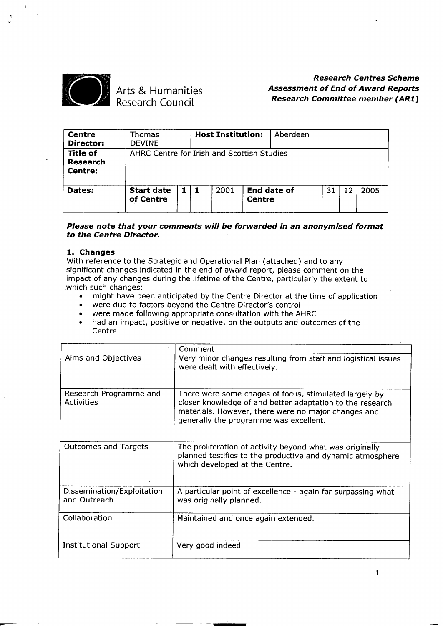

## Arts & Humaniti Research Counc

## *Research Centres Scheme Assessment of End of Award Reports Research Committee member (AR1)*

| <b>Centre</b><br>Director:                    | <b>Thomas</b><br><b>DEVINE</b>             |            | <b>Host Institution:</b> |               | Aberdeen    |    |    |      |
|-----------------------------------------------|--------------------------------------------|------------|--------------------------|---------------|-------------|----|----|------|
| <b>Title of</b><br><b>Research</b><br>Centre: | AHRC Centre for Irish and Scottish Studies |            |                          |               |             |    |    |      |
| Dates:                                        | <b>Start date</b><br>of Centre             | $1 \mid 1$ | 2001                     | <b>Centre</b> | End date of | 31 | 12 | 2005 |

#### *Please note that your comments will be forwarded in* **an** *anonymised format to the Centre Director. .*

#### **1. Changes**

With reference to the Strategic and Operational Plan (attached) and to any significant changes indicated in the end of award report, please comment on the impact of any changes during the lifetime of the Centre, particularly the extent to which such changes: . might have been anticipated by the Centre Director at the time of application in the time of application

- might have been anticipated by the Centre Director at t<br>• were due to factors beyond the Centre Director's control
- 
- might have been anticipated by the Centre Director at the tin<br>• were due to factors beyond the Centre Director's control<br>• were made following appropriate consultation with the AHRC<br>• had an impact, positive or negative,
- . had an impact, positive or negative, on the outputs and outcomes of the Centre.

|                                            | Comment                                                                                                                                                                                                              |
|--------------------------------------------|----------------------------------------------------------------------------------------------------------------------------------------------------------------------------------------------------------------------|
| Aims and Objectives                        | Very minor changes resulting from staff and logistical issues<br>were dealt with effectively.                                                                                                                        |
| Research Programme and<br>Activities       | There were some chages of focus, stimulated largely by<br>closer knowledge of and better adaptation to the research<br>materials. However, there were no major changes and<br>generally the programme was excellent. |
| <b>Outcomes and Targets</b>                | The proliferation of activity beyond what was originally<br>planned testifies to the productive and dynamic atmosphere<br>which developed at the Centre.                                                             |
| Dissemination/Exploitation<br>and Outreach | A particular point of excellence - again far surpassing what<br>was originally planned.                                                                                                                              |
| Collaboration                              | Maintained and once again extended.                                                                                                                                                                                  |
| <b>Institutional Support</b>               | Very good indeed                                                                                                                                                                                                     |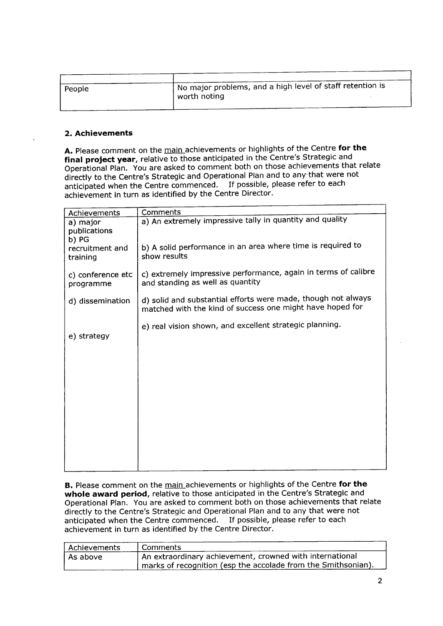| People | I No major problems, and a high level of staff retention is<br>worth noting |
|--------|-----------------------------------------------------------------------------|
|        |                                                                             |

#### **2. Achievements**

**A.** Please comment on the main achievements or highlights of the Centre **for the final project year,** relative to those anticipated in the Centre's Strategic and Operational Plan. You are asked to comment both on those achievements that relate directly to the Centre's Strategic and Operational Plan and to any-that were not anticipated when the Centre commenced. If possible, please refer to each achievement in turn as identified by the Centre Director.

| Achievements                      | Comments                                                                                                                   |
|-----------------------------------|----------------------------------------------------------------------------------------------------------------------------|
| a) major<br>publications<br>b) PG | a) An extremely impressive tally in quantity and quality                                                                   |
| recruitment and<br>training       | b) A solid performance in an area where time is required to<br>show results                                                |
| c) conference etc<br>programme    | c) extremely impressive performance, again in terms of calibre<br>and standing as well as quantity                         |
| d) dissemination                  | d) solid and substantial efforts were made, though not always<br>matched with the kind of success one might have hoped for |
| e) strategy                       | e) real vision shown, and excellent strategic planning.                                                                    |
|                                   |                                                                                                                            |
|                                   |                                                                                                                            |
|                                   |                                                                                                                            |
|                                   |                                                                                                                            |
|                                   |                                                                                                                            |

**B.** Please comment on the main achievements or highlights of the Centre **for the whole award period,** relative to those anticipated in the Centre's Strategic and Operational Plan. You are asked to comment both on those achievements that relate directly to the Centre's Strategic and Operational Plan and to any that were not anticipated when the Centre commenced. If possible, please refer to each achievement in turn as identified by the Centre Director.

| Achievements | Comments                                                        |
|--------------|-----------------------------------------------------------------|
| As above     | An extraordinary achievement, crowned with international        |
|              | ' marks of recognition (esp the accolade from the Smithsonian). |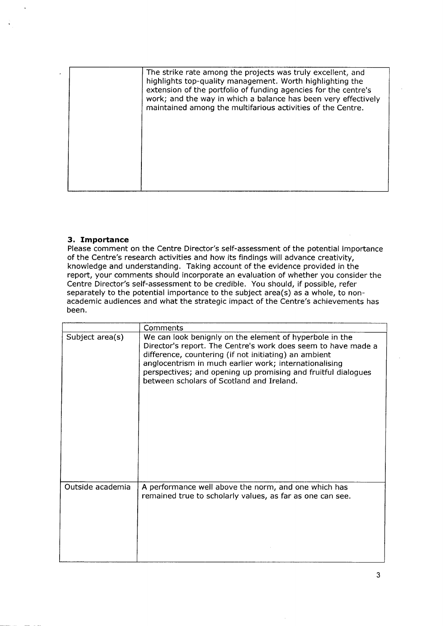|  | The strike rate among the projects was truly excellent, and<br>highlights top-quality management. Worth highlighting the<br>extension of the portfolio of funding agencies for the centre's<br>work; and the way in which a balance has been very effectively<br>maintained among the multifarious activities of the Centre. |
|--|------------------------------------------------------------------------------------------------------------------------------------------------------------------------------------------------------------------------------------------------------------------------------------------------------------------------------|
|  |                                                                                                                                                                                                                                                                                                                              |
|  |                                                                                                                                                                                                                                                                                                                              |

#### **3. Importance**

Please comment on the Centre Director's self-assessment of the potential importance of the Centre's research activities and how its findings will advance creativity, knowledge and understanding. Taking account of the evidence provided in the report, your comments should incorporate an evaluation of whether you consider the Centre Director's self-assessment to be credible. You should, if possible, refer separately to the potential importance to the subject area(s) as a whole, to nonacademic audiences and what the strategic impact of the Centre's achievements has been.

|                  | Comments                                                                                                                                                                                                                                                                                                                                                  |
|------------------|-----------------------------------------------------------------------------------------------------------------------------------------------------------------------------------------------------------------------------------------------------------------------------------------------------------------------------------------------------------|
| Subject area(s)  | We can look benignly on the element of hyperbole in the<br>Director's report. The Centre's work does seem to have made a<br>difference, countering (if not initiating) an ambient<br>anglocentrism in much earlier work; internationalising<br>perspectives; and opening up promising and fruitful dialogues<br>between scholars of Scotland and Ireland. |
| Outside academia | A performance well above the norm, and one which has<br>remained true to scholarly values, as far as one can see.                                                                                                                                                                                                                                         |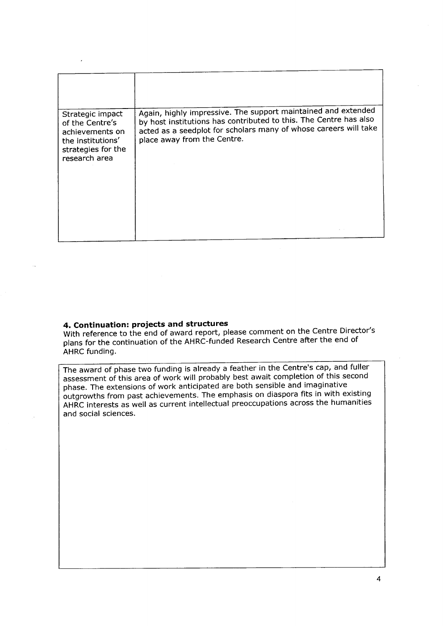| Strategic impact<br>of the Centre's<br>achievements on<br>the institutions'<br>strategies for the<br>research area | Again, highly impressive. The support maintained and extended<br>by host institutions has contributed to this. The Centre has also<br>acted as a seedplot for scholars many of whose careers will take<br>place away from the Centre. |
|--------------------------------------------------------------------------------------------------------------------|---------------------------------------------------------------------------------------------------------------------------------------------------------------------------------------------------------------------------------------|
|                                                                                                                    |                                                                                                                                                                                                                                       |

### **4. Continuation: projects and structures**

With reference to the end of award report, please comment on the Centre Director's plans for the continuation of the AHRC-funded Research Centre after the end of AHRC funding.

The award of phase two funding is already a feather in the Centre's cap, and fuller assessment of this area of work will probably best await completion of this second phase. The extensions of work anticipated are both sensible and imaginative outgrowths from past achievements. The emphasis on diaspora fits in with existing AHRC interests as well as current intellectual preoccupations across the humanities and social sciences.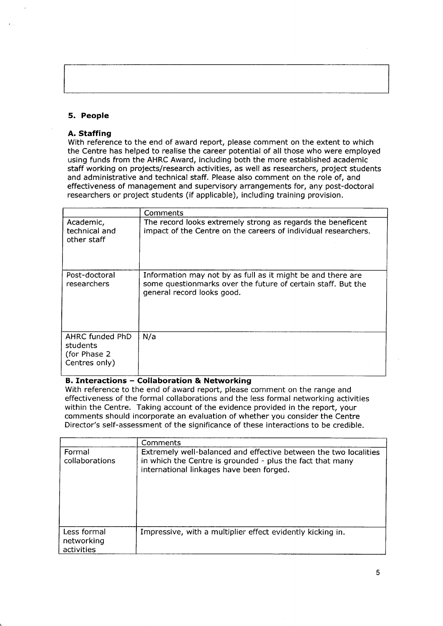#### **5. People**

#### **A. Staffing**

With reference to the end of award report, please comment on the extent to which the Centre has helped to realise the career potential of all those who were employed using funds from the AHRC Award, including both the more established academic staff working on projects/research activities, as well as researchers, project students and administrative and technical staff. Please also comment on the role of, and effectiveness of management and supervisory arrangements for, any post-doctoral researchers or project students (if applicable), including training provision.

|                                                               | Comments                                                                                                                                                  |
|---------------------------------------------------------------|-----------------------------------------------------------------------------------------------------------------------------------------------------------|
| Academic,<br>technical and<br>other staff                     | The record looks extremely strong as regards the beneficent<br>impact of the Centre on the careers of individual researchers.                             |
| Post-doctoral<br>researchers                                  | Information may not by as full as it might be and there are<br>some questionmarks over the future of certain staff. But the<br>general record looks good. |
| AHRC funded PhD<br>students<br>(for Phase 2)<br>Centres only) | N/a                                                                                                                                                       |

#### **B. Interactions - Collaboration & Networking**

With reference to the end of award report, please comment on the range and effectiveness of the formal collaborations and the less formal networking activities within the Centre. Taking account of the evidence provided in the report, your comments should incorporate an evaluation of whether you consider the Centre Director's self-assessment of the significance of these interactions to be credible.

|                                         | Comments                                                                                                                                                                  |
|-----------------------------------------|---------------------------------------------------------------------------------------------------------------------------------------------------------------------------|
| Formal<br>collaborations                | Extremely well-balanced and effective between the two localities<br>in which the Centre is grounded - plus the fact that many<br>international linkages have been forged. |
| Less formal<br>networking<br>activities | Impressive, with a multiplier effect evidently kicking in.                                                                                                                |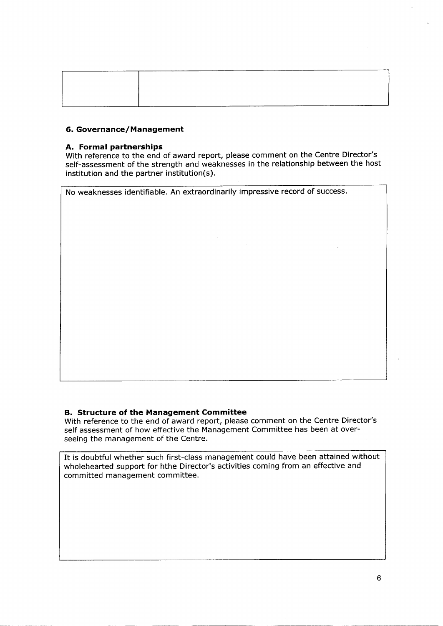| ---- |  |  |
|------|--|--|
|      |  |  |

#### **6. Governance/Management**

#### **A. Formal partnerships**

With reference to the end of award report, please comment on the Centre Director's self-assessment of the strength and weaknesses in the relationship between the host institution and the partner institution(s).

No weaknesses identifiable. An extraordinarily impressive record of success.

#### **B. Structure of the Management Committee**

With reference to the end of award report, please comment on the Centre Director's self assessment of how effective the Management Committee has been at overseeing the management of the Centre.

It is doubtful whether such first-class management could have been attained without wholehearted support for hthe Director's activities coming from an effective and committed management committee.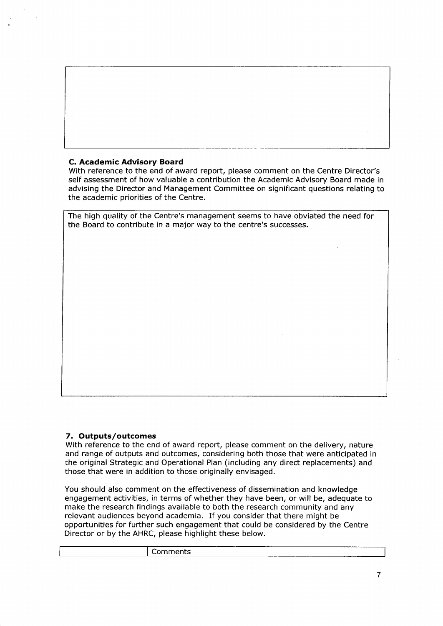#### **C. Academic Advisory Board**

With reference to the end of award report, please comment on the Centre Director's self assessment of how valuable a contribution the Academic Advisory Board made in advising the Director and Management Committee on significant questions relating to the academic priorities of the Centre.

The high quality of the Centre's management seems to have obviated the need for the Board to contribute in a major way to the centre's successes.

#### **7. Outputs/outcomes**

With reference to the end of award report, please comment on the delivery, nature and range of outputs and outcomes, considering both those that were anticipated in the original Strategic and Operational Plan (including any direct replacements) and those that were in addition to those originally envisaged.

You should also comment on the effectiveness of dissemination and knowledge engagement activities, in terms of whether they have been, or will be, adequate to make the research findings available to both the research community and any relevant audiences beyond academia. If you consider that there might be opportunities for further such engagement that could be considered by the Centre Director or by the AHRC, please highlight these below.

| ___<br>.<br>υн<br>בוו |  |                 | ----- |
|-----------------------|--|-----------------|-------|
|                       |  | _____<br>______ |       |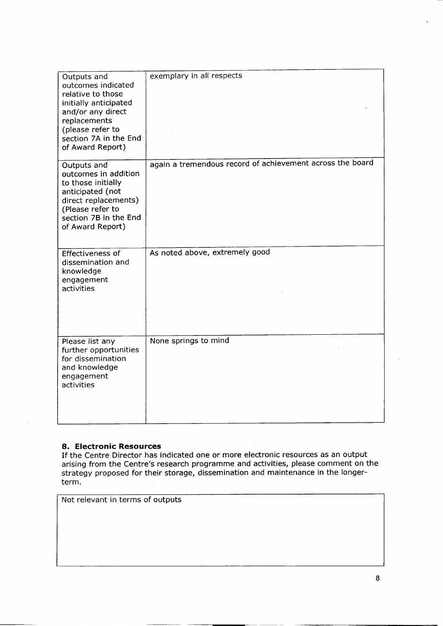| Outputs and<br>outcomes indicated<br>relative to those<br>initially anticipated<br>and/or any direct<br>replacements<br>(please refer to<br>section 7A in the End<br>of Award Report) | exemplary in all respects                                 |
|---------------------------------------------------------------------------------------------------------------------------------------------------------------------------------------|-----------------------------------------------------------|
| Outputs and<br>outcomes in addition<br>to those initially<br>anticipated (not<br>direct replacements)<br>(Please refer to<br>section 7B in the End<br>of Award Report)                | again a tremendous record of achievement across the board |
| Effectiveness of<br>dissemination and<br>knowledge<br>engagement<br>activities                                                                                                        | As noted above, extremely good                            |
| Please list any<br>further opportunities<br>for dissemination<br>and knowledge<br>engagement<br>activities                                                                            | None springs to mind                                      |

#### **8. Electronic Resources**

If the Centre Director has indicated one or more electronic resources as an output arising from the Centre's research programme and activities, please comment on the strategy proposed for their storage, dissemination and maintenance in the longerterm.

Not relevant in terms of outputs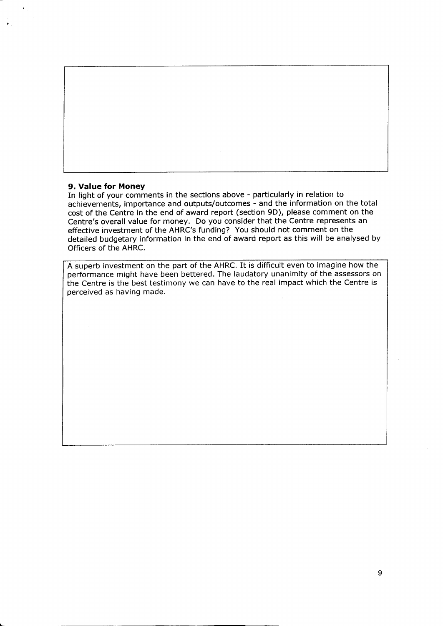

#### **9. Value for Money**

In light of your comments in the sections above - particularly in relation to achievements, importance and outputs/outcomes - and the information on the total cost of the Centre in the end of award report (section 90), please comment on the Centre's overall value for money. Do you consider that the Centre represents an effective investment of the AHRC's funding? You should not comment on the detailed budgetary information in the end of award report as this will be analysed by Officers of the AHRC.

A superb investment on the part of the AHRC. It is difficult even to imagine how the performance might have been bettered. The laudatory unanimity of the assessors on the Centre is the best testimony we can have to the real impact which the Centre is perceived as having made.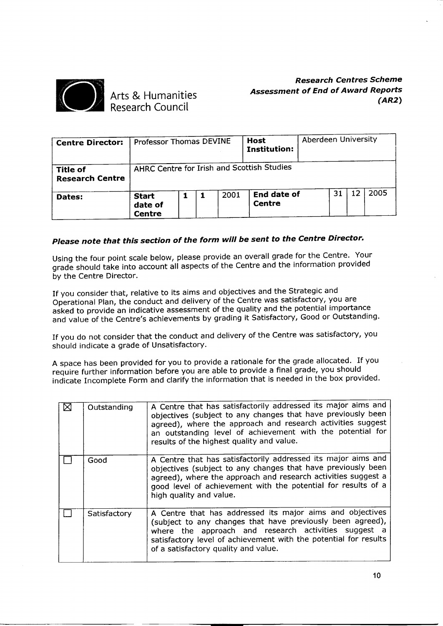

Arts & Humanities Research Council

*Research Centres Scheme Assessment of End of Award Reports (AR2)*

| <b>Centre Director:</b>                   | <b>Professor Thomas DEVINE</b>           |  |      | <b>Host</b><br>Institution:                | Aberdeen University |    |    |      |
|-------------------------------------------|------------------------------------------|--|------|--------------------------------------------|---------------------|----|----|------|
| <b>Title of</b><br><b>Research Centre</b> |                                          |  |      | AHRC Centre for Irish and Scottish Studies |                     |    |    |      |
| Dates:                                    | <b>Start</b><br>date of<br><b>Centre</b> |  | 2001 | <b>End date of</b><br>Centre               |                     | 31 | 12 | 2005 |

# *Please note that this section of the form will be sent to the Centre Director.*

Using the four point scale below, please provide an overall grade for the Centre. Your grade should take into account all aspects of the Centre and the information provided by the Centre Director.

If you consider that, relative to its aims and objectives and the Strategic and Operational Plan, the conduct and delivery of the Centre was satisfactory, you are asked to provide an indicative assessment of the quality and the potential importance and value of the Centre's achievements by grading it Satisfactory, Good or Outstanding.

If you do not consider that the conduct and delivery of the Centre was satisfactory, you should indicate a grade of Unsatisfactory.

A space has been provided for you to provide a rationale for the grade allocated. If you require further information before you are able to provide a final grade, you should indicate Incomplete Form and clarify the information that is needed in the box provided.

| Outstanding  | A Centre that has satisfactorily addressed its major aims and<br>objectives (subject to any changes that have previously been<br>agreed), where the approach and research activities suggest<br>an outstanding level of achievement with the potential for<br>results of the highest quality and value. |
|--------------|---------------------------------------------------------------------------------------------------------------------------------------------------------------------------------------------------------------------------------------------------------------------------------------------------------|
| Good         | A Centre that has satisfactorily addressed its major aims and<br>objectives (subject to any changes that have previously been<br>agreed), where the approach and research activities suggest a<br>good level of achievement with the potential for results of a<br>high quality and value.              |
| Satisfactory | A Centre that has addressed its major aims and objectives<br>(subject to any changes that have previously been agreed),<br>where the approach and research activities suggest a<br>satisfactory level of achievement with the potential for results<br>of a satisfactory quality and value.             |